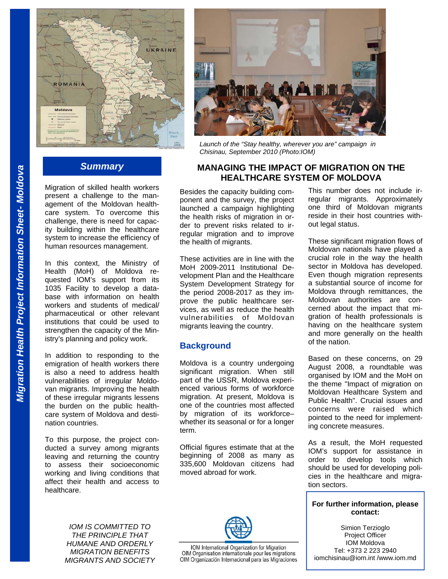

# *Summary*

Migration of skilled health workers present a challenge to the management of the Moldovan healthcare system. To overcome this challenge, there is need for capacity building within the healthcare system to increase the efficiency of human resources management.

In this context, the Ministry of Health (MoH) of Moldova requested IOM's support from its 1035 Facility to develop a database with information on health workers and students of medical/ pharmaceutical or other relevant institutions that could be used to strengthen the capacity of the Ministry's planning and policy work.

In addition to responding to the emigration of health workers there is also a need to address health vulnerabilities of irregular Moldovan migrants. Improving the health of these irregular migrants lessens the burden on the public healthcare system of Moldova and destination countries.

To this purpose, the project conducted a survey among migrants leaving and returning the country to assess their socioeconomic working and living conditions that affect their health and access to healthcare.

> *IOM IS COMMITTED TO THE PRINCIPLE THAT HUMANE AND ORDERLY MIGRATION BENEFITS MIGRANTS AND SOCIETY*



*Launch of the "Stay healthy, wherever you are" campaign in Chisinau, September 2010 (Photo:IOM)* 

## **MANAGING THE IMPACT OF MIGRATION ON THE HEALTHCARE SYSTEM OF MOLDOVA**

Besides the capacity building component and the survey, the project launched a campaign highlighting the health risks of migration in order to prevent risks related to irregular migration and to improve the health of migrants.

These activities are in line with the MoH 2009-2011 Institutional Development Plan and the Healthcare System Development Strategy for the period 2008-2017 as they improve the public healthcare services, as well as reduce the health vulnerabilities of Moldovan migrants leaving the country.

## **Background**

Moldova is a country undergoing significant migration. When still part of the USSR, Moldova experienced various forms of workforce migration. At present, Moldova is one of the countries most affected by migration of its workforce– whether its seasonal or for a longer term.

Official figures estimate that at the beginning of 2008 as many as 335,600 Moldovan citizens had moved abroad for work.



IOM International Organization for Migration OIM Organisation internationale pour les migrations OIM Organización Internacional para las Migraciones

This number does not include irregular migrants. Approximately one third of Moldovan migrants reside in their host countries without legal status.

These significant migration flows of Moldovan nationals have played a crucial role in the way the health sector in Moldova has developed. Even though migration represents a substantial source of income for Moldova through remittances, the Moldovan authorities are concerned about the impact that migration of health professionals is having on the healthcare system and more generally on the health of the nation.

Based on these concerns, on 29 August 2008, a roundtable was organised by IOM and the MoH on the theme "Impact of migration on Moldovan Healthcare System and Public Health". Crucial issues and concerns were raised which pointed to the need for implementing concrete measures.

As a result, the MoH requested IOM's support for assistance in order to develop tools which should be used for developing policies in the healthcare and migration sectors.

## **For further information, please contact:**

Simion Terzioglo Project Officer IOM Moldova Tel: +373 2 223 2940 iomchisinau@iom.int /www.iom.md